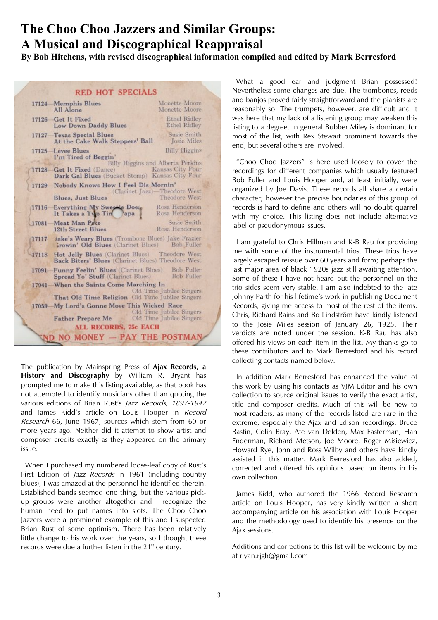# **The Choo Choo Jazzers and Similar Groups: A Musical and Discographical Reappraisal**

**By Bob Hitchens, with revised discographical information compiled and edited by Mark Berresford**

| <b>RED HOT SPECIALS</b> |                                                                                                     |                                            |
|-------------------------|-----------------------------------------------------------------------------------------------------|--------------------------------------------|
|                         | 17124 Memphis Blues<br>All Alone                                                                    | Monette Moore<br>Monette Moore             |
|                         | 17126 Get It Fixed<br>Low Down Daddy Blues                                                          | <b>Ethel Ridley</b><br><b>Ethel Ridley</b> |
|                         | 17127-Texas Special Blues<br>At the Cake Walk Steppers' Ball                                        | Susie Smith<br><b>Josie Miles</b>          |
|                         | 17125 Levee Blues<br>I'm Tired of Beggin'                                                           | <b>Billy Higgins</b>                       |
|                         | 17128 Get It Fixed (Dance) Kansas City Four<br>Dark Gal Blues (Bucket Stomp) Kansas City Four       | Billy Higgins and Alberta Perkins          |
|                         | 17129 Nobody Knows How I Feel Dis Mornin'                                                           | (Clarinet Jazz)—Theodore West              |
|                         | Blues, Just Blues                                                                                   | Theodore West                              |
|                         | 17116 Everything My Sweetie Does<br>It Takes a 1 to Tin apa                                         | Rosa Henderson<br>Rosa Henderson           |
|                         | 17081-Meat Man Pete<br>12th Street Blues                                                            | Susie Smith<br>Rosa Henderson              |
| 17117                   | Jake's Weary Blues (Trombone Blues) Jake Frazier<br>Growin' Old Blues (Clarinet Blues) Bob Fuller   |                                            |
| 17118                   | Hot Jelly Blues (Clarinet Blues) Theodore West<br>Back Biters' Blues (Clarinet Blues) Theodore West |                                            |
|                         | 17091 Funny Feelin' Blues (Clarinet Blues) Bob Fuller<br>Spread Yo' Stuff (Clarinet Blues)          | <b>Bob Fuller</b>                          |
|                         | 17041-When the Saints Come Marching In                                                              | Old Time Jubilee Singers                   |
|                         | That Old Time Religion Old Time Jubilee Singers                                                     |                                            |
|                         | 17059 My Lord's Gonne Move This Wicked Race                                                         | Old Time Jubilee Singers                   |
|                         | Father Prepare Me                                                                                   | Old Time Jubilee Singers                   |
|                         | <b>ALL RECORDS, 75c EACH</b>                                                                        |                                            |
|                         | NO MONEY - PAY THE POSTMAN                                                                          |                                            |

The publication by Mainspring Press of **Ajax Records, a History and Discography** by William R. Bryant has prompted me to make this listing available, as that book has not attempted to identify musicians other than quoting the various editions of Brian Rust's Jazz Records, 1897-1942 and James Kidd's article on Louis Hooper in Record Research 66, June 1967, sources which stem from 60 or more years ago. Neither did it attempt to show artist and composer credits exactly as they appeared on the primary issue.

 When I purchased my numbered loose-leaf copy of Rust's First Edition of *Jazz Records* in 1961 (including country blues), I was amazed at the personnel he identified therein. Established bands seemed one thing, but the various pickup groups were another altogether and I recognize the human need to put names into slots. The Choo Choo Jazzers were a prominent example of this and I suspected Brian Rust of some optimism. There has been relatively little change to his work over the years, so I thought these records were due a further listen in the 21<sup>st</sup> century.

 What a good ear and judgment Brian possessed! Nevertheless some changes are due. The trombones, reeds and banjos proved fairly straightforward and the pianists are reasonably so. The trumpets, however, are difficult and it was here that my lack of a listening group may weaken this listing to a degree. In general Bubber Miley is dominant for most of the list, with Rex Stewart prominent towards the end, but several others are involved.

 "Choo Choo Jazzers" is here used loosely to cover the recordings for different companies which usually featured Bob Fuller and Louis Hooper and, at least initially, were organized by Joe Davis. These records all share a certain character; however the precise boundaries of this group of records is hard to define and others will no doubt quarrel with my choice. This listing does not include alternative label or pseudonymous issues.

 I am grateful to Chris Hillman and K-B Rau for providing me with some of the instrumental trios. These trios have largely escaped reissue over 60 years and form; perhaps the last major area of black 1920s jazz still awaiting attention. Some of these I have not heard but the personnel on the trio sides seem very stable. I am also indebted to the late Johnny Parth for his lifetime's work in publishing Document Records, giving me access to most of the rest of the items. Chris, Richard Rains and Bo Lindström have kindly listened to the Josie Miles session of January 26, 1925. Their verdicts are noted under the session. K-B Rau has also offered his views on each item in the list. My thanks go to these contributors and to Mark Berresford and his record collecting contacts named below.

 In addition Mark Berresford has enhanced the value of this work by using his contacts as VJM Editor and his own collection to source original issues to verify the exact artist, title and composer credits. Much of this will be new to most readers, as many of the records listed are rare in the extreme, especially the Ajax and Edison recordings. Bruce Bastin, Colin Bray, Ate van Delden, Max Easterman, Han Enderman, Richard Metson, Joe Moore, Roger Misiewicz, Howard Rye, John and Ross Wilby and others have kindly assisted in this matter. Mark Berresford has also added, corrected and offered his opinions based on items in his own collection.

 James Kidd, who authored the 1966 Record Research article on Louis Hooper, has very kindly written a short accompanying article on his association with Louis Hooper and the methodology used to identify his presence on the Ajax sessions.

Additions and corrections to this list will be welcome by me at riyan.rjgh@gmail.com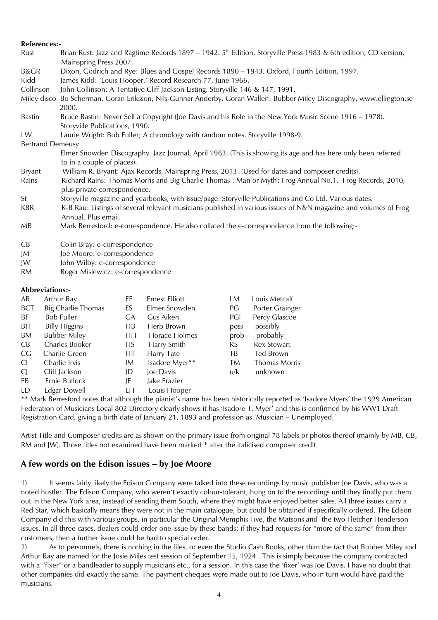#### **References:-**

| Rust                    | Brian Rust: Jazz and Ragtime Records 1897 – 1942. $5th$ Edition, Storyville Press 1983 & 6th edition, CD version, |
|-------------------------|-------------------------------------------------------------------------------------------------------------------|
|                         | Mainspring Press 2007.                                                                                            |
| <b>B&amp;GR</b>         | Dixon, Godrich and Rye: Blues and Gospel Records 1890 - 1943. Oxford, Fourth Edition, 1997.                       |
| Kidd                    | James Kidd: 'Louis Hooper.' Record Research 77, June 1966.                                                        |
| Collinson               | John Collinson: A Tentative Cliff Jackson Listing. Storyville 146 & 147, 1991.                                    |
| Miley disco             | Bo Scherman, Goran Eriksson, Nils-Gunnar Anderby, Goran Wallen: Bubber Miley Discography, www.ellington.se        |
|                         | 2000.                                                                                                             |
| <b>Bastin</b>           | Bruce Bastin: Never Sell a Copyright (Joe Davis and his Role in the New York Music Scene 1916 – 1978).            |
|                         | Storyville Publications, 1990.                                                                                    |
| LW                      | Laurie Wright: Bob Fuller; A chronology with random notes. Storyville 1998-9.                                     |
| <b>Bertrand Demeusy</b> |                                                                                                                   |
|                         | Elmer Snowden Discography. Jazz Journal, April 1963. (This is showing its age and has here only been referred     |
|                         | to in a couple of places).                                                                                        |
| Bryant                  | William R. Bryant: Ajax Records, Mainspring Press, 2013. (Used for dates and composer credits).                   |
| Rains                   | Richard Rains: Thomas Morris and Big Charlie Thomas: Man or Myth? Frog Annual No.1. Frog Records, 2010,           |
|                         | plus private correspondence.                                                                                      |
| St                      | Storyville magazine and yearbooks, with issue/page. Storyville Publications and Co Ltd. Various dates.            |
| <b>KBR</b>              | K-B Rau: Listings of several relevant musicians published in various issues of N&N magazine and volumes of Frog   |
|                         | Annual. Plus email.                                                                                               |
| MB                      | Mark Berresford: e-correspondence. He also collated the e-correspondence from the following:-                     |
|                         |                                                                                                                   |
| CB                      | Colin Bray: e-correspondence                                                                                      |
| JM                      | Joe Moore: e-correspondence                                                                                       |
| JW                      | John Wilby: e-correspondence                                                                                      |
| <b>RM</b>               | Roger Misiewicz: e-correspondence                                                                                 |

### **Abbreviations:-**

| AR             | Arthur Ray                | ЕE  | Ernest Elliott | LM   | Louis Metcalf      |
|----------------|---------------------------|-----|----------------|------|--------------------|
| <b>BCT</b>     | <b>Big Charlie Thomas</b> | ES  | Elmer Snowden  | PG   | Porter Grainger    |
| BF.            | <b>Bob Fuller</b>         | GА  | Gus Aiken      | PGI  | Percy Glascoe      |
| BH             | <b>Billy Higgins</b>      | HB  | Herb Brown     | poss | possibly           |
| BM             | <b>Bubber Miley</b>       | HН  | Horace Holmes  | prob | probably           |
| CB             | Charles Booker            | HS. | Harry Smith    | RS.  | <b>Rex Stewart</b> |
| CG.            | Charlie Green             | HТ  | Harry Tate     | TB.  | Ted Brown          |
| CI.            | Charlie Irvis             | IM  | Isadore Myer** | TM.  | Thomas Morris      |
| C <sub>I</sub> | Cliff Jackson             | JD  | Joe Davis      | u/k  | unknown            |
| EB             | Ernie Bullock             | JF  | Jake Frazier   |      |                    |
| ED             | Edgar Dowell              | LН  | Louis Hooper   |      |                    |
|                |                           |     | $\mathbf{I}$   |      |                    |

\*\* Mark Berresford notes that although the pianist's name has been historically reported as 'Isadore Myers' the 1929 American Federation of Musicians Local 802 Directory clearly shows it has 'Isadore T. Myer' and this is confirmed by his WW1 Draft Registration Card, giving a birth date of January 21, 1893 and profession as 'Musician – Unemployed.'

Artist Title and Composer credits are as shown on the primary issue from original 78 labels or photos thereof (mainly by MB, CB, RM and JW). Those titles not examined have been marked \* after the italicised composer credit.

## **A few words on the Edison issues – by Joe Moore**

1) It seems fairly likely the Edison Company were talked into these recordings by music publisher Joe Davis, who was a noted hustler. The Edison Company, who weren't exactly colour-tolerant, hung on to the recordings until they finally put them out in the New York area, instead of sending them South, where they might have enjoyed better sales. All three issues carry a Red Star, which basically means they were not in the main catalogue, but could be obtained if specifically ordered. The Edison Company did this with various groups, in particular the Original Memphis Five, the Matsons and the two Fletcher Henderson issues. In all three cases, dealers could order one issue by these bands; if they had requests for "more of the same" from their customers, then a further issue could be had to special order.

2) As to personnels, there is nothing in the files, or even the Studio Cash Books, other than the fact that Bubber Miley and Arthur Ray are named for the Josie Miles test session of September 15, 1924 . This is simply because the company contracted with a "fixer" or a bandleader to supply musicians etc., for a session. In this case the 'fixer' was Joe Davis. I have no doubt that other companies did exactly the same. The payment cheques were made out to Joe Davis, who in turn would have paid the musicians.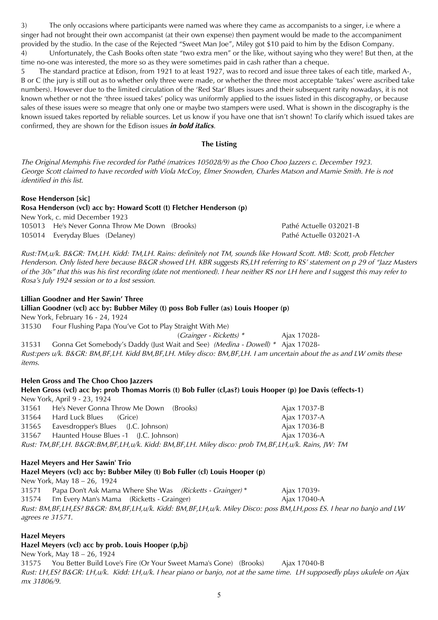3) The only occasions where participants were named was where they came as accompanists to a singer, i.e where a singer had not brought their own accompanist (at their own expense) then payment would be made to the accompaniment provided by the studio. In the case of the Rejected "Sweet Man Joe", Miley got \$10 paid to him by the Edison Company. 4) Unfortunately, the Cash Books often state "two extra men" or the like, without saying who they were! But then, at the time no-one was interested, the more so as they were sometimes paid in cash rather than a cheque.

5 The standard practice at Edison, from 1921 to at least 1927, was to record and issue three takes of each title, marked A-, B or C (the jury is still out as to whether only three were made, or whether the three most acceptable 'takes' were ascribed take numbers). However due to the limited circulation of the 'Red Star' Blues issues and their subsequent rarity nowadays, it is not known whether or not the 'three issued takes' policy was uniformly applied to the issues listed in this discography, or because sales of these issues were so meagre that only one or maybe two stampers were used. What is shown in the discography is the known issued takes reported by reliable sources. Let us know if you have one that isn't shown! To clarify which issued takes are confirmed, they are shown for the Edison issues **in bold italics**.

### **The Listing**

The Original Memphis Five recorded for Pathé (matrices 105028/9) as the Choo Choo Jazzers c. December 1923. George Scott claimed to have recorded with Viola McCoy, Elmer Snowden, Charles Matson and Mamie Smith. He is not identified in this list.

#### **Rose Henderson [sic]**

**Rosa Henderson (vcl) acc by: Howard Scott (t) Fletcher Henderson (p)**  New York, c. mid December 1923 105013 He's Never Gonna Throw Me Down (Brooks) Pathé Actuelle 032021-B

105014 Everyday Blues (Delaney) Pathé Actuelle 032021-A

Rust:TM,u/k. B&GR: TM,LH. Kidd: TM,LH. Rains: definitely not TM, sounds like Howard Scott. MB: Scott, prob Fletcher Henderson. Only listed here because B&GR showed LH. KBR suggests RS,LH referring to RS' statement on p 29 of "Jazz Masters of the 30s" that this was his first recording (date not mentioned). I hear neither RS nor LH here and I suggest this may refer to Rosa's July 1924 session or to a lost session.

#### **Lillian Goodner and Her Sawin' Three**

**Lillian Goodner (vcl) acc by: Bubber Miley (t) poss Bob Fuller (as) Louis Hooper (p)** New York, February 16 - 24, 1924

31530 Four Flushing Papa (You've Got to Play Straight With Me)

(Grainger - Ricketts) \* Ajax 17028-

31531 Gonna Get Somebody's Daddy (Just Wait and See) (Medina - Dowell) \* Ajax 17028- Rust:pers u/k. B&GR: BM,BF,LH. Kidd BM,BF,LH. Miley disco: BM,BF,LH. I am uncertain about the as and LW omits these items.

## **Helen Gross and The Choo Choo Jazzers**

### **Helen Gross (vcl) acc by: prob Thomas Morris (t) Bob Fuller (cl,as?) Louis Hooper (p) Joe Davis (effects-1)** New York, April 9 - 23, 1924 31561 He's Never Gonna Throw Me Down (Brooks) Ajax 17037-B

31564 Hard Luck Blues (Grice) **Ajax 17037-A** 31565 Eavesdropper's Blues (J.C. Johnson) Ajax 17036-B 31567 Haunted House Blues -1 (J.C. Johnson) Ajax 17036-A Rust: TM,BF,LH. B&GR:BM,BF,LH,u/k. Kidd: BM,BF,LH. Miley disco: prob TM,BF,LH,u/k. Rains, JW: TM

## **Hazel Meyers and Her Sawin' Trio**

## **Hazel Meyers (vcl) acc by: Bubber Miley (t) Bob Fuller (cl) Louis Hooper (p)**

New York, May 18 – 26, 1924 31571 Papa Don't Ask Mama Where She Was (Ricketts - Grainger) \* Ajax 17039- 31574 I'm Every Man's Mama (Ricketts - Grainger) Ajax 17040-A Rust: BM,BF,LH,ES? B&GR: BM,BF,LH,u/k. Kidd: BM,BF,LH,u/k. Miley Disco: poss BM,LH,poss ES. I hear no banjo and LW agrees re 31571.

### **Hazel Meyers**

## **Hazel Meyers (vcl) acc by prob. Louis Hooper (p,bj)**

New York, May 18 – 26, 1924 31575 You Better Build Love's Fire (Or Your Sweet Mama's Gone) (Brooks) Ajax 17040-B Rust: LH,ES? B&GR: LH,u/k. Kidd: LH,u/k. I hear piano or banjo, not at the same time. LH supposedly plays ukulele on Ajax mx 31806/9.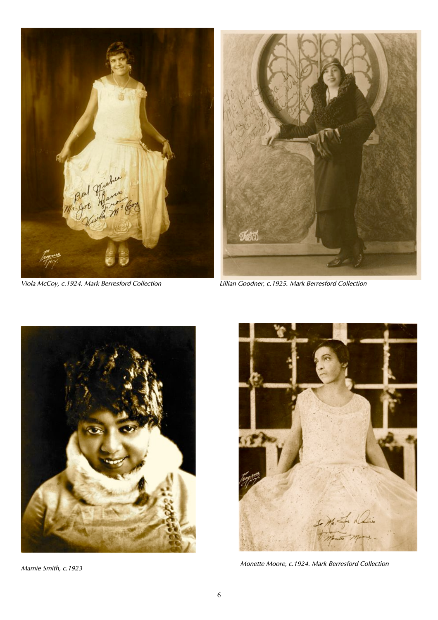

Viola McCoy, c.1924. Mark Berresford Collection



Lillian Goodner, c.1925. Mark Berresford Collection



Mamie Smith, c.1923



Monette Moore, c.1924. Mark Berresford Collection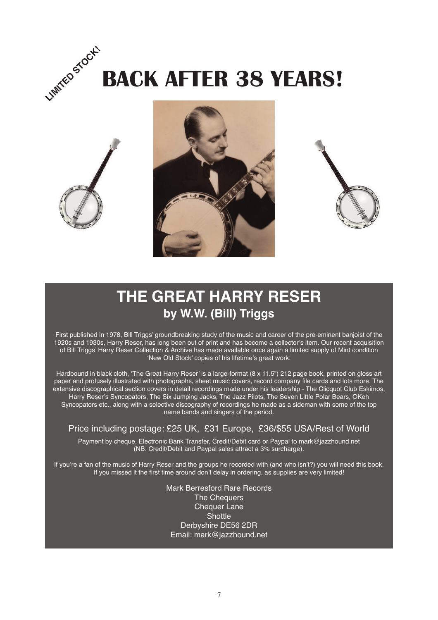







# **THE GREAT HARRY RESER by W.W. (Bill) Triggs**

First published in 1978, Bill Triggs' groundbreaking study of the music and career of the pre-eminent banjoist of the 1920s and 1930s, Harry Reser, has long been out of print and has become a collector's item. Our recent acquisition of Bill Triggs' Harry Reser Collection & Archive has made available once again a limited supply of Mint condition 'New Old Stock' copies of his lifetime's great work.

Hardbound in black cloth, 'The Great Harry Reser' is a large-format (8 x 11.5") 212 page book, printed on gloss art paper and profusely illustrated with photographs, sheet music covers, record company file cards and lots more. The extensive discographical section covers in detail recordings made under his leadership - The Clicquot Club Eskimos, Harry Reser's Syncopators, The Six Jumping Jacks, The Jazz Pilots, The Seven Little Polar Bears, OKeh Syncopators etc., along with a selective discography of recordings he made as a sideman with some of the top name bands and singers of the period.

## Price including postage: £25 UK, £31 Europe, £36/\$55 USA/Rest of World

Payment by cheque, Electronic Bank Transfer, Credit/Debit card or Paypal to mark@jazzhound.net (NB: Credit/Debit and Paypal sales attract a 3% surcharge).

If you're a fan of the music of Harry Reser and the groups he recorded with (and who isn't?) you will need this book. If you missed it the first time around don't delay in ordering, as supplies are very limited!

> Mark Berresford Rare Records The Chequers **Chequer Lane Shottle** Derbyshire DE56 2DR Email: mark@jazzhound.net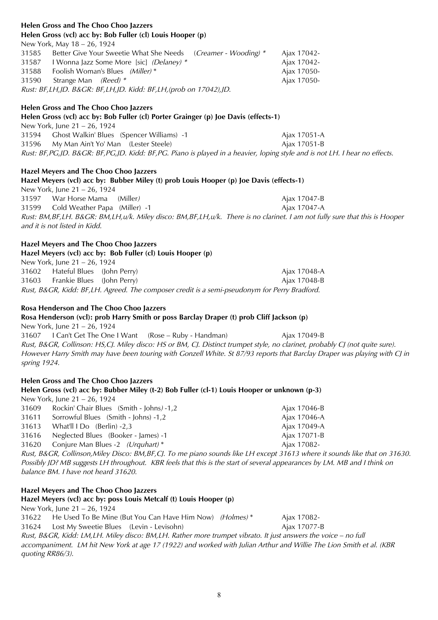| <b>Helen Gross and The Choo Choo Jazzers</b>                                                                                                                                                                                                             |              |
|----------------------------------------------------------------------------------------------------------------------------------------------------------------------------------------------------------------------------------------------------------|--------------|
| Helen Gross (vcl) acc by: Bob Fuller (cl) Louis Hooper (p)                                                                                                                                                                                               |              |
| New York, May 18 - 26, 1924                                                                                                                                                                                                                              |              |
| Better Give Your Sweetie What She Needs (Creamer - Wooding) *<br>31585                                                                                                                                                                                   | Ajax 17042-  |
| 31587<br>I Wonna Jazz Some More [sic] (Delaney) *                                                                                                                                                                                                        | Ajax 17042-  |
| Foolish Woman's Blues (Miller)*<br>31588                                                                                                                                                                                                                 | Ajax 17050-  |
| Strange Man (Reed) *<br>31590                                                                                                                                                                                                                            | Ajax 17050-  |
| Rust: BF,LH,JD. B&GR: BF,LH,JD. Kidd: BF,LH,(prob on 17042),JD.                                                                                                                                                                                          |              |
| <b>Helen Gross and The Choo Choo Jazzers</b>                                                                                                                                                                                                             |              |
| Helen Gross (vcl) acc by: Bob Fuller (cl) Porter Grainger (p) Joe Davis (effects-1)                                                                                                                                                                      |              |
| New York, June 21 - 26, 1924                                                                                                                                                                                                                             |              |
| 31594 Chost Walkin' Blues (Spencer Williams) -1                                                                                                                                                                                                          | Ajax 17051-A |
| My Man Ain't Yo' Man (Lester Steele)<br>31596                                                                                                                                                                                                            | Ajax 17051-B |
| Rust: BF, PG, JD. B&GR: BF, PG, JD. Kidd: BF, PG. Piano is played in a heavier, loping style and is not LH. I hear no effects.                                                                                                                           |              |
| Hazel Meyers and The Choo Choo Jazzers                                                                                                                                                                                                                   |              |
| Hazel Meyers (vcl) acc by: Bubber Miley (t) prob Louis Hooper (p) Joe Davis (effects-1)                                                                                                                                                                  |              |
| New York, June 21 - 26, 1924                                                                                                                                                                                                                             |              |
| War Horse Mama<br>(Miller)<br>31597                                                                                                                                                                                                                      | Ajax 17047-B |
| Cold Weather Papa (Miller) -1<br>31599                                                                                                                                                                                                                   | Ajax 17047-A |
| Rust: BM, BF, LH. B&GR: BM, LH, u/k. Miley disco: BM, BF, LH, u/k. There is no clarinet. I am not fully sure that this is Hooper<br>and it is not listed in Kidd.                                                                                        |              |
| Hazel Meyers and The Choo Choo Jazzers                                                                                                                                                                                                                   |              |
| Hazel Meyers (vcl) acc by: Bob Fuller (cl) Louis Hooper (p)                                                                                                                                                                                              |              |
| New York, June 21 - 26, 1924                                                                                                                                                                                                                             |              |
| 31602 Hateful Blues (John Perry)                                                                                                                                                                                                                         | Ajax 17048-A |
| 31603 Frankie Blues (John Perry)                                                                                                                                                                                                                         | Ajax 17048-B |
| Rust, B&GR, Kidd: BF,LH. Agreed. The composer credit is a semi-pseudonym for Perry Bradford.                                                                                                                                                             |              |
|                                                                                                                                                                                                                                                          |              |
| Rosa Henderson and The Choo Choo Jazzers                                                                                                                                                                                                                 |              |
| Rosa Henderson (vcl): prob Harry Smith or poss Barclay Draper (t) prob Cliff Jackson (p)                                                                                                                                                                 |              |
| New York, June 21 - 26, 1924                                                                                                                                                                                                                             |              |
| 31607 I Can't Get The One I Want (Rose - Ruby - Handman)                                                                                                                                                                                                 | Ajax 17049-B |
| Rust, B&GR, Collinson: HS,CJ. Miley disco: HS or BM, CJ. Distinct trumpet style, no clarinet, probably CJ (not quite sure).<br>However Harry Smith may have been touring with Gonzell White. St 87/93 reports that Barclay Draper was playing with CJ in |              |
| spring 1924.                                                                                                                                                                                                                                             |              |
| <b>Helen Gross and The Choo Choo Jazzers</b>                                                                                                                                                                                                             |              |
| Helen Gross (vcl) acc by: Bubber Miley (t-2) Bob Fuller (cl-1) Louis Hooper or unknown (p-3)                                                                                                                                                             |              |
| New York, June 21 - 26, 1924                                                                                                                                                                                                                             |              |
| Rockin' Chair Blues (Smith - Johns) -1,2<br>31609                                                                                                                                                                                                        | Ajax 17046-B |
| Sorrowful Blues (Smith - Johns) -1,2<br>31611                                                                                                                                                                                                            | Ajax 17046-A |

31613 What'll I Do (Berlin) -2,3 Ajax 17049-A

31616 Neglected Blues (Booker - James) -1 Ajax 17071-B

31620 Conjure Man Blues -2 (Urquhart) \* Ajax 17082-

Rust, B&GR, Collinson,Miley Disco: BM,BF,CJ. To me piano sounds like LH except 31613 where it sounds like that on 31630. Possibly JD? MB suggests LH throughout. KBR feels that this is the start of several appearances by LM. MB and I think on balance BM. I have not heard 31620.

## **Hazel Meyers and The Choo Choo Jazzers Hazel Meyers (vcl) acc by: poss Louis Metcalf (t) Louis Hooper (p)**  New York, June 21 – 26, 1924 31622 He Used To Be Mine (But You Can Have Him Now) (Holmes) \* Ajax 17082-31624 Lost My Sweetie Blues (Levin - Levisohn) Ajax 17077-B Rust, B&GR, Kidd: LM,LH. Miley disco: BM,LH. Rather more trumpet vibrato. It just answers the voice – no full accompaniment. LM hit New York at age 17 (1922) and worked with Julian Arthur and Willie The Lion Smith et al. (KBR quoting RR86/3).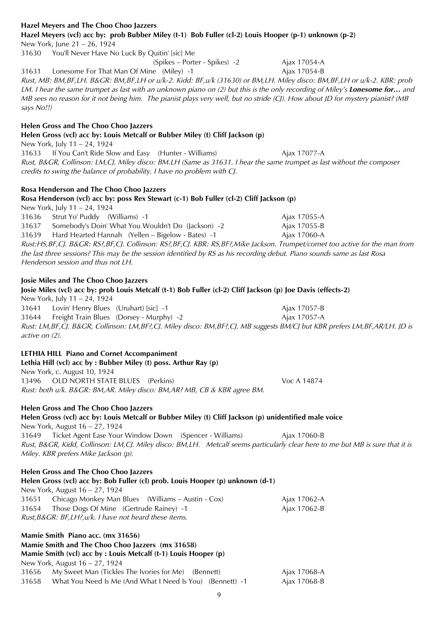31656 My Sweet Man (Tickles The Ivories for Me) (Bennett) Ajax 17068-A 31658 What You Need Is Me (And What I Need Is You) (Bennett) -1 Ajax 17068-B

31637 Somebody's Doin' What You Wouldn't Do (Jackson) -2 Ajax 17055-B 31639 Hard Hearted Hannah (Yellen – Bigelow - Bates) -1 Ajax 17060-A Henderson session and thus not LH. **Josie Miles and The Choo Choo Jazzers Josie Miles (vcl) acc by: prob Louis Metcalf (t-1) Bob Fuller (cl-2) Cliff Jackson (p) Joe Davis (effects-2)** New York, July 11 – 24, 1924 31641 Lovin' Henry Blues (Uruhart) [sic] -1 Ajax 17057-B 31644 Freight Train Blues (Dorsey - Murphy) -2 Ajax 17057-A active on (2). **LETHIA HILL Piano and Cornet Accompaniment Lethia Hill (vcl) acc by : Bubber Miley (t) poss. Arthur Ray (p)**  New York, c. August 10, 1924 13496 OLD NORTH STATE BLUES (Perkins) Voc A 14874 Rust: both u/k. B&GR: BM,AR. Miley disco: BM,AR? MB, CB & KBR agree BM. **Helen Gross and The Choo Choo Jazzers Helen Gross (vcl) acc by: Louis Metcalf or Bubber Miley (t) Cliff Jackson (p) unidentified male voice** New York, August 16 – 27, 1924 31649 Ticket Agent Ease Your Window Down (Spencer - Williams) Ajax 17060-B Rust, B&GR, Kidd, Collinson: LM,CJ. Miley disco: BM,LH. Metcalf seems particularly clear here to me but MB is sure that it is Miley. KBR prefers Mike Jackson (p). **Helen Gross and The Choo Choo Jazzers Helen Gross (vcl) acc by: Bob Fuller (cl) prob. Louis Hooper (p) unknown (d-1)**  New York, August 16 – 27, 1924 31651 Chicago Monkey Man Blues (Williams – Austin - Cox) Ajax 17062-A 31654 Those Dogs Of Mine (Gertrude Rainey) -1 Ajax 17062-B Rust,B&GR: BF,LH?,u/k. I have not heard these items.

**Rosa Henderson and The Choo Choo Jazzers**

credits to swing the balance of probability. I have no problem with CJ.

**Helen Gross (vcl) acc by: Louis Metcalf or Bubber Miley (t) Cliff Jackson (p)**

## **Rosa Henderson (vcl) acc by: poss Rex Stewart (c-1) Bob Fuller (cl-2) Cliff Jackson (p)**

31633 If You Can't Ride Slow and Easy (Hunter - Williams) Ajax 17077-A

New York, July 11 – 24, 1924 31636 Strut Yo' Puddy (Williams) -1 Ajax 17055-A the last three sessions? This may be the session identified by RS as his recording debut. Piano sounds same as last Rosa

Rust, B&GR, Collinson: LM,CJ. Miley disco: BM.LH (Same as 31631. I hear the same trumpet as last without the composer

Rust:HS,BF,CJ. B&GR: RS?,BF,CJ. Collinson: RS?,BF,CJ. KBR: RS,BF?,Mike Jackson. Trumpet/cornet too active for the man from

| Josie Miles and The Choo Choo Jazzers                                                                                                              |                                                |              |  |
|----------------------------------------------------------------------------------------------------------------------------------------------------|------------------------------------------------|--------------|--|
| Josie Miles (vcl) acc by: prob Louis Metcalf (t-1) Bob Fuller (cl-2) Cliff Jackson (p) Joe Davis (effects-2)                                       |                                                |              |  |
| New York, July 11 – 24, 1924                                                                                                                       |                                                |              |  |
|                                                                                                                                                    | 31641 Lovin' Henry Blues (Uruhart) [sic] -1    | Ajax 17057-B |  |
|                                                                                                                                                    | 31644 Freight Train Blues (Dorsey - Murphy) -2 | Ajax 17057-A |  |
| Rust: LM, BF, CJ. B&GR, Collinson: LM, BF?, CJ. Miley disco: BM, BF?, CJ. MB suggests BM/CJ but KBR prefers LM, BF, AR/LH. JD is<br>active on (2). |                                                |              |  |

## **Hazel Meyers and The Choo Choo Jazzers**

**Hazel Meyers (vcl) acc by: prob Bubber Miley (t-1) Bob Fuller (cl-2) Louis Hooper (p-1) unknown (p-2)**  New York, June 21 – 26, 1924

31630 You'll Never Have No Luck By Quitin' [sic] Me

(Spikes – Porter - Spikes) -2 Ajax 17054-A

31631 Lonesome For That Man Of Mine (Miley) -1 Ajax 17054-B Rust, MB: BM,BF,LH. B&GR: BM,BF,LH or u/k-2. Kidd: BF,u/k (31630) or BM,LH. Miley disco: BM,BF,LH or u/k-2. KBR: prob LM. I hear the same trumpet as last with an unknown piano on (2) but this is the only recording of Miley's **Lonesome for…** and MB sees no reason for it not being him. The pianist plays very well, but no stride (CJ). How about JD for mystery pianist? (MB says No!!)

**Helen Gross and The Choo Choo Jazzers**

**Mamie Smith Piano acc. (mx 31656)**

New York, August 16 – 27, 1924

**Mamie Smith and The Choo Choo Jazzers (mx 31658)**

**Mamie Smith (vcl) acc by : Louis Metcalf (t-1) Louis Hooper (p)** 

New York, July 11 – 24, 1924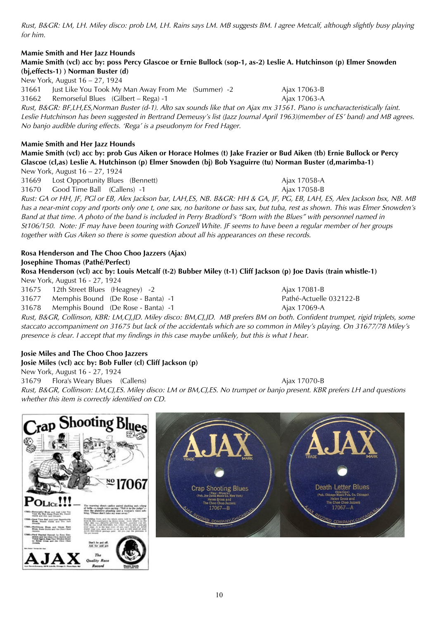Rust, B&GR: LM, LH. Miley disco: prob LM, LH. Rains says LM. MB suggests BM. I agree Metcalf, although slightly busy playing for him.

### **Mamie Smith and Her Jazz Hounds Mamie Smith (vcl) acc by: poss Percy Glascoe or Ernie Bullock (sop-1, as-2) Leslie A. Hutchinson (p) Elmer Snowden (bj,effects-1) ) Norman Buster (d)**

New York, August 16 – 27, 1924

31661 Just Like You Took My Man Away From Me (Summer) -2 Ajax 17063-B

31662 Remorseful Blues (Gilbert – Rega) -1 Ajax 17063-A

Rust, B&GR: BF,LH,ES,Norman Buster (d-1). Alto sax sounds like that on Ajax mx 31561. Piano is uncharacteristically faint. Leslie Hutchinson has been suggested in Bertrand Demeusy's list (Jazz Journal April 1963)(member of ES' band) and MB agrees. No banjo audible during effects. 'Rega' is a pseudonym for Fred Hager.

## **Mamie Smith and Her Jazz Hounds**

**Mamie Smith (vcl) acc by: prob Gus Aiken or Horace Holmes (t) Jake Frazier or Bud Aiken (tb) Ernie Bullock or Percy Glascoe (cl,as) Leslie A. Hutchinson (p) Elmer Snowden (bj) Bob Ysaguirre (tu) Norman Buster (d,marimba-1)** 

New York, August 16 – 27, 1924 31669 Lost Opportunity Blues (Bennett) Ajax 17058-A 31670 Good Time Ball (Callens) -1 Ajax 17058-B

Rust: GA or HH, JF, PGl or EB, Alex Jackson bar, LAH,ES, NB. B&GR: HH & GA, JF, PG, EB, LAH, ES, Alex Jackson bsx, NB. MB has a near-mint copy and rports only one t, one sax, no baritone or bass sax, but tuba, rest as shown. This was Elmer Snowden's Band at that time. A photo of the band is included in Perry Bradford's "Born with the Blues" with personnel named in St106/150. Note: JF may have been touring with Gonzell White. JF seems to have been a regular member of her groups together with Gus Aiken so there is some question about all his appearances on these records.

### **Rosa Henderson and The Choo Choo Jazzers (Ajax) Josephine Thomas (Pathé/Perfect)**

**Rosa Henderson (vcl) acc by: Louis Metcalf (t-2) Bubber Miley (t-1) Cliff Jackson (p) Joe Davis (train whistle-1)**  New York, August 16 - 27, 1924

31675 12th Street Blues (Heagney) -2 Ajax 17081-B

31677 Memphis Bound (De Rose - Banta) -1 Pathé-Actuelle 032122-B

31678 Memphis Bound (De Rose - Banta) -1 Ajax 17069-A

Rust, B&GR, Collinson, KBR: LM,CJ,JD. Miley disco: BM,CJ,JD. MB prefers BM on both. Confident trumpet, rigid triplets, some staccato accompaniment on 31675 but lack of the accidentals which are so common in Miley's playing. On 31677/78 Miley's presence is clear. I accept that my findings in this case maybe unlikely, but this is what I hear.

## **Josie Miles and The Choo Choo Jazzers Josie Miles (vcl) acc by: Bob Fuller (cl) Cliff Jackson (p)**

New York, August 16 - 27, 1924

31679 Flora's Weary Blues (Callens) Ajax 17070-B

Rust, B&GR, Collinson: LM,CJ,ES. Miley disco: LM or BM,CJ,ES. No trumpet or banjo present. KBR prefers LH and questions whether this item is correctly identified on CD.

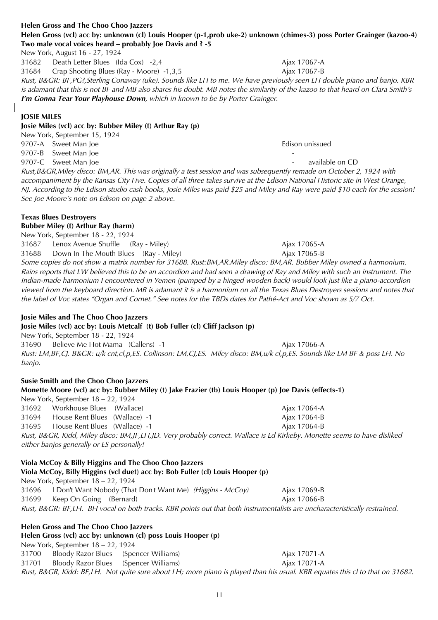**Helen Gross (vcl) acc by: unknown (cl) Louis Hooper (p-1,prob uke-2) unknown (chimes-3) poss Porter Grainger (kazoo-4) Two male vocal voices heard – probably Joe Davis and ? -5** New York, August 16 - 27, 1924 31682 Death Letter Blues (Ida Cox) -2,4 Ajax 17067-A 31684 Crap Shooting Blues (Ray - Moore) -1,3,5 Ajax 17067-B

Rust, B&GR: BF,PG?,Sterling Conaway (uke). Sounds like LH to me. We have previously seen LH double piano and banjo. KBR is adamant that this is not BF and MB also shares his doubt. MB notes the similarity of the kazoo to that heard on Clara Smith's **I'm Gonna Tear Your Playhouse Down**, which in known to be by Porter Grainger.

## **JOSIE MILES**

#### **Josie Miles (vcl) acc by: Bubber Miley (t) Arthur Ray (p)**  New York, September 15, 1924

9707-A Sweet Man Joe Edison unissued 9707-B Sweet Man Joe 9707-C Sweet Man Joe - available on CD Rust,B&GR,Miley disco: BM,AR. This was originally a test session and was subsequently remade on October 2, 1924 with accompaniment by the Kansas City Five. Copies of all three takes survive at the Edison National Historic site in West Orange, NJ. According to the Edison studio cash books, Josie Miles was paid \$25 and Miley and Ray were paid \$10 each for the session! See Joe Moore's note on Edison on page 2 above.

## **Texas Blues Destroyers Bubber Miley (t) Arthur Ray (harm)**

New York, September 18 - 22, 1924 31687 Lenox Avenue Shuffle (Ray - Miley) Ajax 17065-A 31688 Down In The Mouth Blues (Ray - Miley) Ajax 17065-B

Some copies do not show a matrix number for 31688. Rust:BM,AR.Miley disco: BM,AR. Bubber Miley owned a harmonium. Rains reports that LW believed this to be an accordion and had seen a drawing of Ray and Miley with such an instrument. The Indian-made harmonium I encountered in Yemen (pumped by a hinged wooden back) would look just like a piano-accordion viewed from the keyboard direction. MB is adamant it is a harmonium on all the Texas Blues Destroyers sessions and notes that the label of Voc states "Organ and Cornet." See notes for the TBDs dates for Pathé-Act and Voc shown as 5/7 Oct.

## **Josie Miles and The Choo Choo Jazzers**

## **Josie Miles (vcl) acc by: Louis Metcalf (t) Bob Fuller (cl) Cliff Jackson (p)**

New York, September 18 - 22, 1924 31690 Believe Me Hot Mama (Callens) -1 Ajax 17066-A Rust: LM,BF,CJ. B&GR: u/k cnt,cl,p,ES. Collinson: LM,CJ,ES. Miley disco: BM,u/k cl,p,ES. Sounds like LM BF & poss LH. No banjo.

## **Susie Smith and the Choo Choo Jazzers**

**Helen Gross and The Choo Choo Jazzers**

## **Monette Moore (vcl) acc by: Bubber Miley (t) Jake Frazier (tb) Louis Hooper (p) Joe Davis (effects-1)**

New York, September 18 – 22, 1924 31692 Workhouse Blues (Wallace) Ajax 17064-A 31694 House Rent Blues (Wallace) -1 Ajax 17064-B 31695 House Rent Blues (Wallace) -1 Ajax 17064-B Rust, B&GR, Kidd, Miley disco: BM,JF,LH,JD. Very probably correct. Wallace is Ed Kirkeby. Monette seems to have disliked either banjos generally or ES personally!

| Viola McCoy & Billy Higgins and The Choo Choo Jazzers                                                                      |              |  |
|----------------------------------------------------------------------------------------------------------------------------|--------------|--|
| Viola McCoy, Billy Higgins (vcl duet) acc by: Bob Fuller (cl) Louis Hooper (p)                                             |              |  |
| New York, September 18 – 22, 1924                                                                                          |              |  |
| 31696 I Don't Want Nobody (That Don't Want Me) (Higgins - McCoy)                                                           | Ajax 17069-B |  |
| Keep On Going (Bernard)<br>31699                                                                                           | Ajax 17066-B |  |
| Rust, B&GR: BF,LH. BH vocal on both tracks. KBR points out that both instrumentalists are uncharacteristically restrained. |              |  |

**Helen Gross (vcl) acc by: unknown (cl) poss Louis Hooper (p)**  New York, September 18 – 22, 1924 31700 Bloody Razor Blues (Spencer Williams) Ajax 17071-A 31701 Bloody Razor Blues (Spencer Williams) Ajax 17071-A Rust, B&GR, Kidd: BF,LH. Not quite sure about LH; more piano is played than his usual. KBR equates this cl to that on 31682.

**Helen Gross and The Choo Choo Jazzers**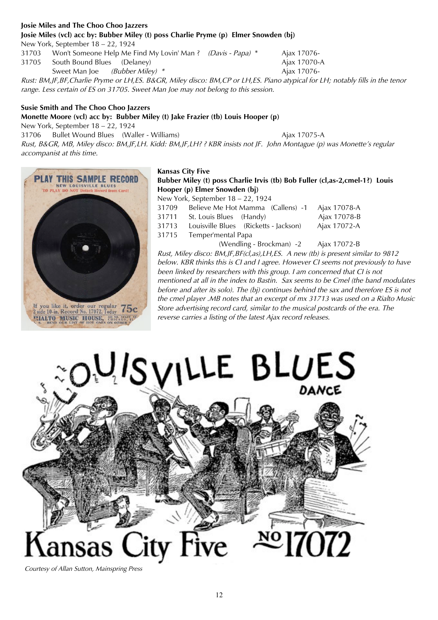## **Josie Miles and The Choo Choo Jazzers Josie Miles (vcl) acc by: Bubber Miley (t) poss Charlie Pryme (p) Elmer Snowden (bj)**

New York, September 18 – 22, 1924

31703 Won't Someone Help Me Find My Lovin' Man ? (Davis - Papa) \* Ajax 17076-

31705 South Bound Blues (Delaney) and the state of the Ajax 17070-A Sweet Man Joe (Bubber Miley) \* Ajax 17076-

Rust: BM,JF,BF,Charlie Pryme or LH,ES. B&GR, Miley disco: BM,CP or LH,ES. Piano atypical for LH; notably fills in the tenor range. Less certain of ES on 31705. Sweet Man Joe may not belong to this session.

## **Susie Smith and The Choo Choo Jazzers**

## **Monette Moore (vcl) acc by: Bubber Miley (t) Jake Frazier (tb) Louis Hooper (p)**

New York, September 18 – 22, 1924

31706 Bullet Wound Blues (Waller - Williams) Ajax 17075-A

Rust, B&GR, MB, Miley disco: BM,JF,LH. Kidd: BM,JF,LH? ? KBR insists not JF. John Montague (p) was Monette's regular accompanist at this time.



## **Kansas City Five**

**Bubber Miley (t) poss Charlie Irvis (tb) Bob Fuller (cl,as-2,cmel-1?) Louis Hooper (p) Elmer Snowden (bj)** 

New York, September 18 – 22, 1924

| 31709 | Believe Me Hot Mamma (Callens) -1     | Ajax 17078-A |
|-------|---------------------------------------|--------------|
| 31711 | St. Louis Blues (Handy)               | Ajax 17078-B |
| 31713 | Louisville Blues (Ricketts - Jackson) | Ajax 17072-A |
| 31715 | Temper'mental Papa                    |              |
|       |                                       |              |

(Wendling - Brockman) -2 Ajax 17072-B

Rust, Miley disco: BM,JF,BF(cl,as),LH,ES. A new (tb) is present similar to 9812 below. KBR thinks this is CI and I agree. However CI seems not previously to have been linked by researchers with this group. I am concerned that CI is not mentioned at all in the index to Bastin. Sax seems to be Cmel (the band modulates before and after its solo). The (bj) continues behind the sax and therefore ES is not the cmel player .MB notes that an excerpt of mx 31713 was used on a Rialto Music Store advertising record card, similar to the musical postcards of the era. The reverse carries a listing of the latest Ajax record releases.



Courtesy of Allan Sutton, Mainspring Press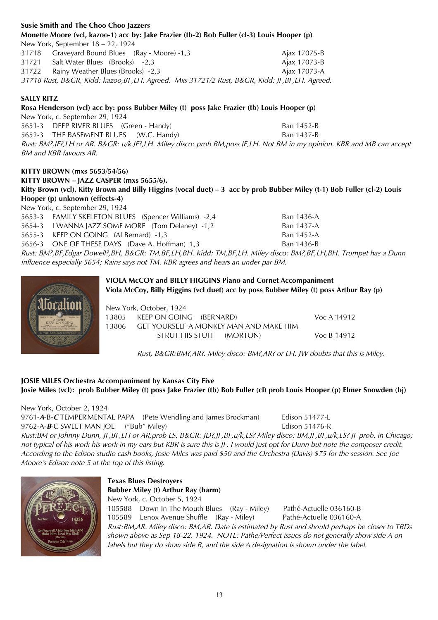| <b>Susie Smith and The Choo Choo Jazzers</b>                                                                             |              |
|--------------------------------------------------------------------------------------------------------------------------|--------------|
| Monette Moore (vcl, kazoo-1) acc by: Jake Frazier (tb-2) Bob Fuller (cl-3) Louis Hooper (p)                              |              |
| New York, September 18 - 22, 1924                                                                                        |              |
| 31718 Graveyard Bound Blues (Ray - Moore) -1,3                                                                           | Ajax 17075-B |
| Salt Water Blues (Brooks) -2,3<br>31721                                                                                  | Ajax 17073-B |
| Rainy Weather Blues (Brooks) -2,3<br>31722                                                                               | Ajax 17073-A |
| 31718 Rust, B&GR, Kidd: kazoo, BF, LH. Agreed. Mxs 31721/2 Rust, B&GR, Kidd: JF, BF, LH. Agreed.                         |              |
| <b>SALLY RITZ</b>                                                                                                        |              |
| Rosa Henderson (vcl) acc by: poss Bubber Miley (t) poss Jake Frazier (tb) Louis Hooper (p)                               |              |
| New York, c. September 29, 1924                                                                                          |              |
| 5651-3 DEEP RIVER BLUES (Green - Handy)                                                                                  | Ban 1452-B   |
| 5652-3 THE BASEMENT BLUES (W.C. Handy)                                                                                   | Ban 1437-B   |
| Rust: BM?,JF?,LH or AR. B&GR: u/k.JF?,LH. Miley disco: prob BM,poss JF,LH. Not BM in my opinion. KBR and MB can accept   |              |
| BM and KBR favours AR.                                                                                                   |              |
| KITTY BROWN (mxs 5653/54/56)                                                                                             |              |
| KITTY BROWN - JAZZ CASPER (mxs 5655/6).                                                                                  |              |
| Kitty Brown (vcl), Kitty Brown and Billy Higgins (vocal duet) – 3 acc by prob Bubber Miley (t-1) Bob Fuller (cl-2) Louis |              |
| Hooper (p) unknown (effects-4)                                                                                           |              |
| New York, c. September 29, 1924                                                                                          |              |
| 5653-3 FAMILY SKELETON BLUES (Spencer Williams) -2,4                                                                     | Ban 1436-A   |
| 5654-3 I WANNA JAZZ SOME MORE (Tom Delaney) -1,2                                                                         | Ban 1437-A   |
| 5655-3 KEEP ON GOING (Al Bernard) -1,3                                                                                   | Ban 1452-A   |
| 5656-3 ONE OF THESE DAYS (Dave A. Hoffman) 1,3                                                                           | Ban 1436-B   |
| .                                                                                                                        |              |

Rust: BM?,BF,Edgar Dowell?,BH. B&GR: TM,BF,LH,BH. Kidd: TM,BF,LH. Miley disco: BM?,BF,LH,BH. Trumpet has a Dunn influence especially 5654; Rains says not TM. KBR agrees and hears an under par BM.



**VIOLA McCOY and BILLY HIGGINS Piano and Cornet Accompaniment Viola McCoy, Billy Higgins (vcl duet) acc by poss Bubber Miley (t) poss Arthur Ray (p)** 

New York, October, 1924 13805 KEEP ON GOING (BERNARD) Voc A 14912 13806 GET YOURSELF A MONKEY MAN AND MAKE HIM STRUT HIS STUFF (MORTON) Voc B 14912

Rust, B&GR:BM?,AR?. Miley disco: BM?,AR? or LH. JW doubts that this is Miley.

## **JOSIE MILES Orchestra Accompaniment by Kansas City Five Josie Miles (vcl): prob Bubber Miley (t) poss Jake Frazier (tb) Bob Fuller (cl) prob Louis Hooper (p) Elmer Snowden (bj)**

New York, October 2, 1924 9761-**A**-B-**C** TEMPER'MENTAL PAPA (Pete Wendling and James Brockman) Edison 51477-L 9762-A-**B**-C SWEET MAN JOE ("Bub" Miley) Edison 51476-R Rust:BM or Johnny Dunn, JF,BF,LH or AR,prob ES. B&GR: JD?,JF,BF,u/k,ES? Miley disco: BM,JF,BF,u/k,ES? JF prob. in Chicago; not typical of his work his work in my ears but KBR is sure this is JF. I would just opt for Dunn but note the composer credit. According to the Edison studio cash books, Josie Miles was paid \$50 and the Orchestra (Davis) \$75 for the session. See Joe Moore's Edison note 5 at the top of this listing.



## **Texas Blues Destroyers Bubber Miley (t) Arthur Ray (harm)**  New York, c. October 5, 1924 105588 Down In The Mouth Blues (Ray - Miley) Pathé-Actuelle 036160-B 105589 Lenox Avenue Shuffle (Ray - Miley) Pathé-Actuelle 036160-A Rust:BM,AR. Miley disco: BM,AR. Date is estimated by Rust and should perhaps be closer to TBDs shown above as Sep 18-22, 1924. NOTE: Pathe/Perfect issues do not generally show side A on labels but they do show side B, and the side A designation is shown under the label.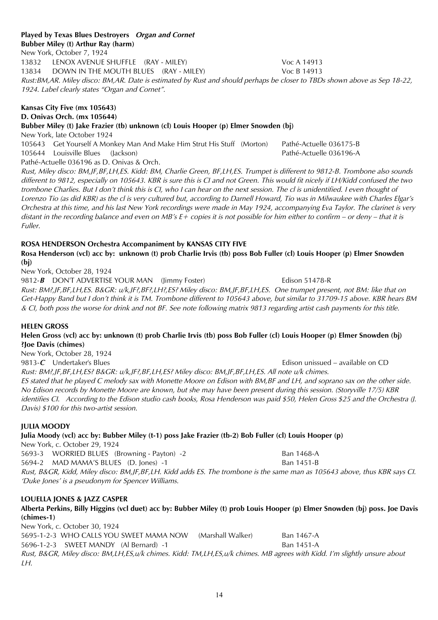### **Played by Texas Blues Destroyers Organ and Cornet Bubber Miley (t) Arthur Ray (harm)**

New York, October 7, 1924 13832 LENOX AVENUE SHUFFLE (RAY - MILEY) Voc A 14913 13834 DOWN IN THE MOUTH BLUES (RAY - MILEY) Voc B 14913 Rust:BM,AR. Miley disco: BM,AR. Date is estimated by Rust and should perhaps be closer to TBDs shown above as Sep 18-22, 1924. Label clearly states "Organ and Cornet".

## **Kansas City Five (mx 105643) D. Onivas Orch. (mx 105644)**

**Bubber Miley (t) Jake Frazier (tb) unknown (cl) Louis Hooper (p) Elmer Snowden (bj)**  New York, late October 1924 105643 Get Yourself A Monkey Man And Make Him Strut His Stuff (Morton) Pathé-Actuelle 036175-B 105644 Louisville Blues (Jackson) Pathé-Actuelle 036196-A

Pathé-Actuelle 036196 as D. Onivas & Orch.

Rust, Miley disco: BM,JF,BF,LH,ES. Kidd: BM, Charlie Green, BF,LH,ES. Trumpet is different to 9812-B. Trombone also sounds different to 9812, especially on 105643. KBR is sure this is CI and not Green. This would fit nicely if LH/Kidd confused the two trombone Charlies. But I don't think this is CI, who I can hear on the next session. The cl is unidentified. I even thought of Lorenzo Tio (as did KBR) as the cl is very cultured but, according to Darnell Howard, Tio was in Milwaukee with Charles Elgar's Orchestra at this time, and his last New York recordings were made in May 1924, accompanying Eva Taylor. The clarinet is very distant in the recording balance and even on MB's  $E+$  copies it is not possible for him either to confirm – or deny – that it is Fuller.

## **ROSA HENDERSON Orchestra Accompaniment by KANSAS CITY FIVE Rosa Henderson (vcl) acc by: unknown (t) prob Charlie Irvis (tb) poss Bob Fuller (cl) Louis Hooper (p) Elmer Snowden (bj)**

New York, October 28, 1924

9812-**B** DON'T ADVERTISE YOUR MAN (Jimmy Foster) Edison 51478-R Rust: BM?,JF,BF,LH,ES. B&GR: u/k,JF?,BF?,LH?,ES? Miley disco: BM,JF,BF,LH,ES. One trumpet present, not BM: like that on Get-Happy Band but I don't think it is TM. Trombone different to 105643 above, but similar to 31709-15 above. KBR hears BM & CI, both poss the worse for drink and not BF. See note following matrix 9813 regarding artist cash payments for this title.

## **HELEN GROSS**

## **Helen Gross (vcl) acc by: unknown (t) prob Charlie Irvis (tb) poss Bob Fuller (cl) Louis Hooper (p) Elmer Snowden (bj) ?Joe Davis (chimes)**

New York, October 28, 1924

9813-**C** Undertaker's Blues Edison unissued – available on CD Rust: BM?,JF,BF,LH,ES? B&GR: u/k,JF?,BF,LH,ES? Miley disco: BM,JF,BF,LH,ES. All note u/k chimes. ES stated that he played C melody sax with Monette Moore on Edison with BM,BF and LH, and soprano sax on the other side. No Edison records by Monette Moore are known, but she may have been present during this session. (Storyville 17/5) KBR identifies CI. According to the Edison studio cash books, Rosa Henderson was paid \$50, Helen Gross \$25 and the Orchestra (J. Davis) \$100 for this two-artist session.

## **JULIA MOODY**

**Julia Moody (vcl) acc by: Bubber Miley (t-1) poss Jake Frazier (tb-2) Bob Fuller (cl) Louis Hooper (p)**

New York, c. October 29, 1924 5693-3 WORRIED BLUES (Browning - Payton) -2 Ban 1468-A 5694-2 MAD MAMA'S BLUES (D. Jones) -1 Ban 1451-B Rust, B&GR, Kidd, Miley disco: BM,JF,BF,LH. Kidd adds ES. The trombone is the same man as 105643 above, thus KBR says CI. 'Duke Jones' is a pseudonym for Spencer Williams.

## **LOUELLA JONES & JAZZ CASPER**

**Alberta Perkins, Billy Higgins (vcl duet) acc by: Bubber Miley (t) prob Louis Hooper (p) Elmer Snowden (bj) poss. Joe Davis (chimes-1)**

New York, c. October 30, 1924 5695-1-2-3 WHO CALLS YOU SWEET MAMA NOW (Marshall Walker) Ban 1467-A 5696-1-2-3 SWEET MANDY (Al Bernard) -1 Ban 1451-A Rust, B&GR, Miley disco: BM,LH,ES,u/k chimes. Kidd: TM,LH,ES,u/k chimes. MB agrees with Kidd. I'm slightly unsure about  $IH$ .